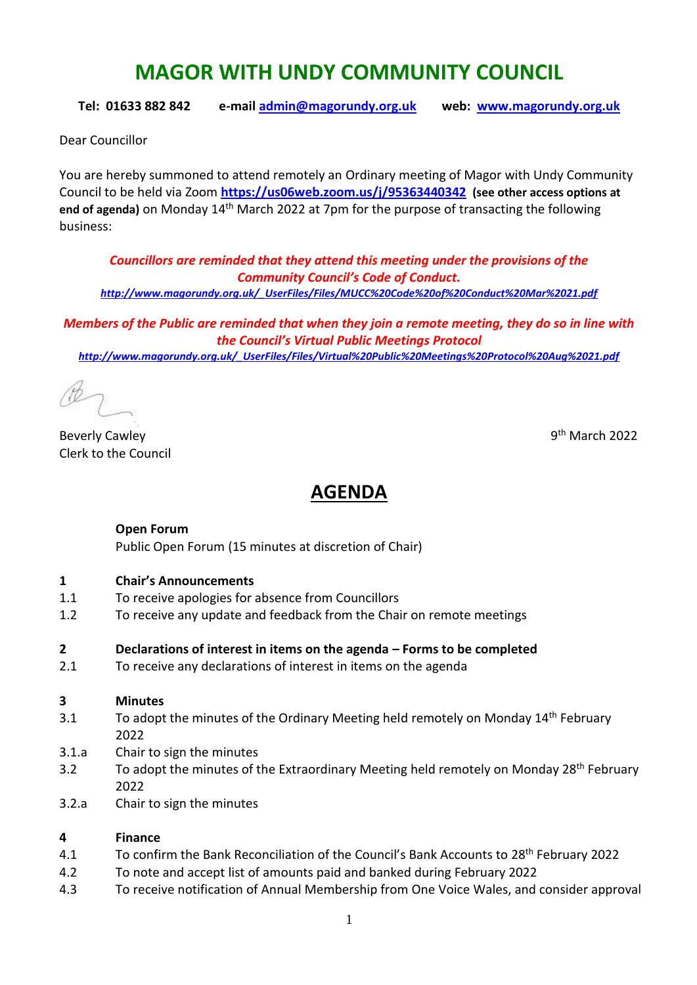# **MAGOR WITH UNDY COMMUNITY COUNCIL**

**Tel: 01633 882 842 e-mail [admin@magorundy.org.uk](mailto:admin@magorundy.org.uk) web: [www.magorundy.org.uk](http://www.magorundy.org.uk/)**

Dear Councillor

You are hereby summoned to attend remotely an Ordinary meeting of Magor with Undy Community Council to be held via Zoom **<https://us06web.zoom.us/j/95363440342> (see other access options at**  end of agenda) on Monday 14<sup>th</sup> March 2022 at 7pm for the purpose of transacting the following business:

*Councillors are reminded that they attend this meeting under the provisions of the Community Council's Code of Conduct. [http://www.magorundy.org.uk/\\_UserFiles/Files/MUCC%20Code%20of%20Conduct%20Mar%2021.pdf](http://www.magorundy.org.uk/_UserFiles/Files/MUCC%20Code%20of%20Conduct%20Mar%2021.pdf)*

*Members of the Public are reminded that when they join a remote meeting, they do so in line with the Council's Virtual Public Meetings Protocol [http://www.magorundy.org.uk/\\_UserFiles/Files/Virtual%20Public%20Meetings%20Protocol%20Aug%2021.pdf](http://www.magorundy.org.uk/_UserFiles/Files/Virtual%20Public%20Meetings%20Protocol%20Aug%2021.pdf)*

**Beverly Cawley** Clerk to the Council

9<sup>th</sup> March 2022

## **AGENDA**

#### **Open Forum**

Public Open Forum (15 minutes at discretion of Chair)

#### **1 Chair's Announcements**

- 1.1 To receive apologies for absence from Councillors
- 1.2 To receive any update and feedback from the Chair on remote meetings

#### **2 Declarations of interest in items on the agenda – Forms to be completed**

2.1 To receive any declarations of interest in items on the agenda

#### **3 Minutes**

- 3.1 To adopt the minutes of the Ordinary Meeting held remotely on Monday 14<sup>th</sup> February 2022
- 3.1.a Chair to sign the minutes
- 3.2 To adopt the minutes of the Extraordinary Meeting held remotely on Monday 28<sup>th</sup> February 2022
- 3.2.a Chair to sign the minutes

#### **4 Finance**

- 4.1 To confirm the Bank Reconciliation of the Council's Bank Accounts to 28<sup>th</sup> February 2022
- 4.2 To note and accept list of amounts paid and banked during February 2022
- 4.3 To receive notification of Annual Membership from One Voice Wales, and consider approval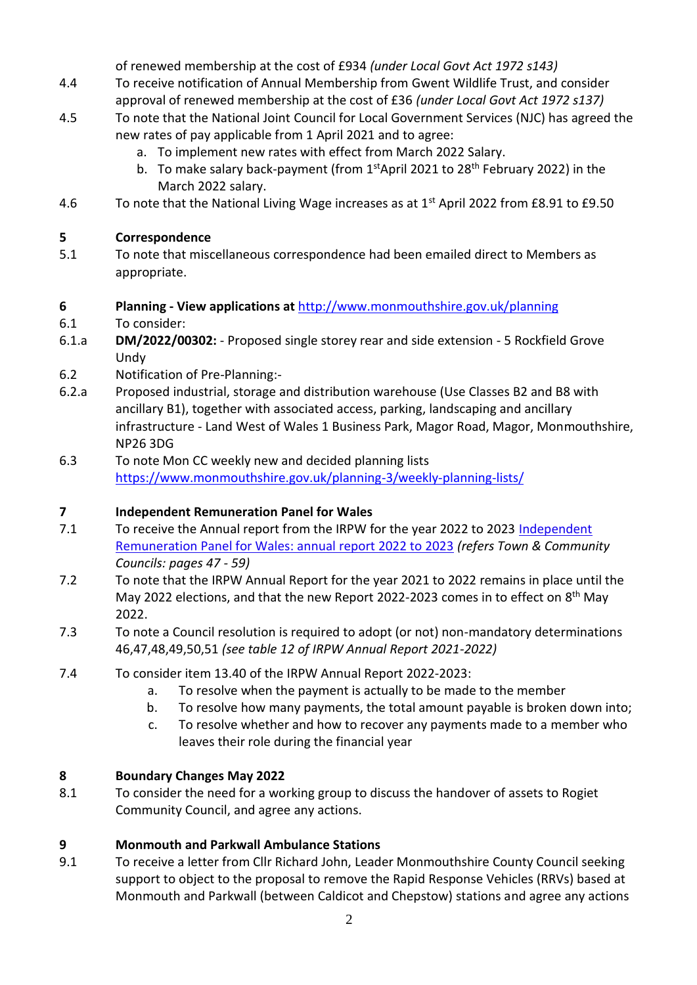of renewed membership at the cost of £934 *(under Local Govt Act 1972 s143)*

- 4.4 To receive notification of Annual Membership from Gwent Wildlife Trust, and consider approval of renewed membership at the cost of £36 *(under Local Govt Act 1972 s137)*
- 4.5 To note that the National Joint Council for Local Government Services (NJC) has agreed the new rates of pay applicable from 1 April 2021 and to agree:
	- a. To implement new rates with effect from March 2022 Salary.
	- b. To make salary back-payment (from  $1<sup>st</sup>$ April 2021 to 28<sup>th</sup> February 2022) in the March 2022 salary.
- 4.6 To note that the National Living Wage increases as at 1<sup>st</sup> April 2022 from £8.91 to £9.50

### **5 Correspondence**

5.1 To note that miscellaneous correspondence had been emailed direct to Members as appropriate.

### **6 Planning - View applications at** <http://www.monmouthshire.gov.uk/planning>

6.1 To consider:

- 6.1.a **DM/2022/00302:**  Proposed single storey rear and side extension 5 Rockfield Grove Undy
- 6.2 Notification of Pre-Planning:-
- 6.2.a Proposed industrial, storage and distribution warehouse (Use Classes B2 and B8 with ancillary B1), together with associated access, parking, landscaping and ancillary infrastructure - Land West of Wales 1 Business Park, Magor Road, Magor, Monmouthshire, NP26 3DG
- 6.3 To note Mon CC weekly new and decided planning lists <https://www.monmouthshire.gov.uk/planning-3/weekly-planning-lists/>

#### **7 Independent Remuneration Panel for Wales**

- 7.1 To receive the Annual report from the IRPW for the year 2022 to 2023 Independent [Remuneration Panel for Wales: annual report 2022 to 2023](https://eur01.safelinks.protection.outlook.com/?url=https%3A%2F%2Fgov.wales%2Findependent-remuneration-panel-wales-annual-report-2022-2023&data=04%7C01%7CLeighton.Jones%40gov.wales%7Ceb82a77f724c4da7315708d9d424ecc1%7Ca2cc36c592804ae78887d06dab89216b%7C0%7C0%7C637774077311159118%7CUnknown%7CTWFpbGZsb3d8eyJWIjoiMC4wLjAwMDAiLCJQIjoiV2luMzIiLCJBTiI6Ik1haWwiLCJXVCI6Mn0%3D%7C3000&sdata=qu0AxrCN1ap0hfysvVih4fMFitHo2aXkDya9HBCyz7Q%3D&reserved=0) *(refers Town & Community Councils: pages 47 - 59)*
- 7.2 To note that the IRPW Annual Report for the year 2021 to 2022 remains in place until the May 2022 elections, and that the new Report 2022-2023 comes in to effect on 8<sup>th</sup> May 2022.
- 7.3 To note a Council resolution is required to adopt (or not) non-mandatory determinations 46,47,48,49,50,51 *(see table 12 of IRPW Annual Report 2021-2022)*
- 7.4 To consider item 13.40 of the IRPW Annual Report 2022-2023:
	- a. To resolve when the payment is actually to be made to the member
	- b. To resolve how many payments, the total amount payable is broken down into;
	- c. To resolve whether and how to recover any payments made to a member who leaves their role during the financial year

#### **8 Boundary Changes May 2022**

8.1 To consider the need for a working group to discuss the handover of assets to Rogiet Community Council, and agree any actions.

#### **9 Monmouth and Parkwall Ambulance Stations**

9.1 To receive a letter from Cllr Richard John, Leader Monmouthshire County Council seeking support to object to the proposal to remove the Rapid Response Vehicles (RRVs) based at Monmouth and Parkwall (between Caldicot and Chepstow) stations and agree any actions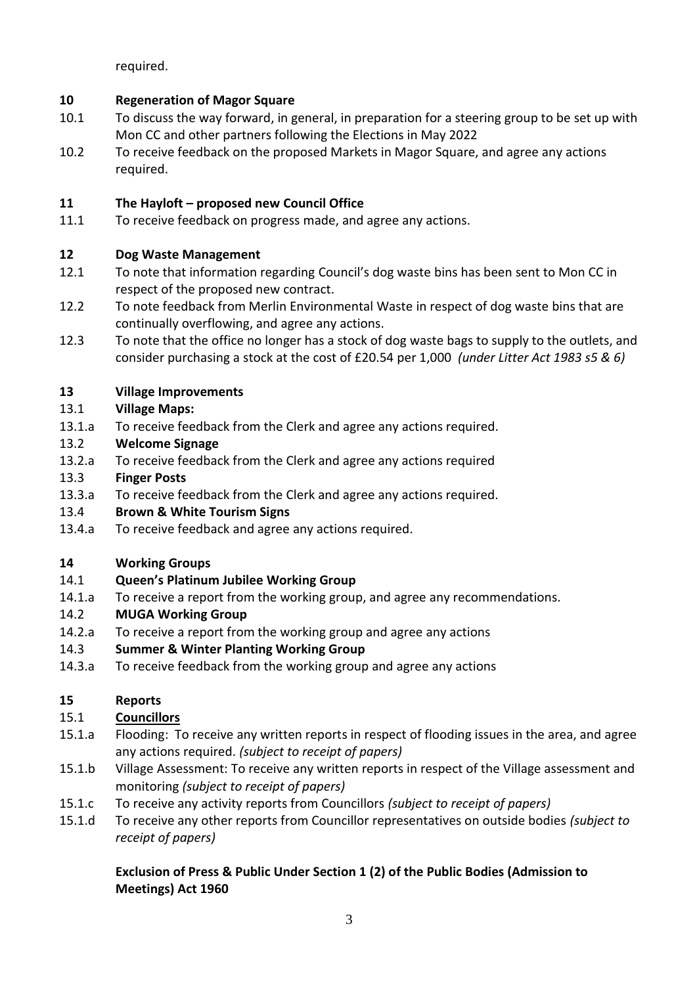required.

## **10 Regeneration of Magor Square**

- 10.1 To discuss the way forward, in general, in preparation for a steering group to be set up with Mon CC and other partners following the Elections in May 2022
- 10.2 To receive feedback on the proposed Markets in Magor Square, and agree any actions required.

## **11 The Hayloft – proposed new Council Office**

11.1 To receive feedback on progress made, and agree any actions.

## **12 Dog Waste Management**

- 12.1 To note that information regarding Council's dog waste bins has been sent to Mon CC in respect of the proposed new contract.
- 12.2 To note feedback from Merlin Environmental Waste in respect of dog waste bins that are continually overflowing, and agree any actions.
- 12.3 To note that the office no longer has a stock of dog waste bags to supply to the outlets, and consider purchasing a stock at the cost of £20.54 per 1,000 *(under Litter Act 1983 s5 & 6)*

## **13 Village Improvements**

## 13.1 **Village Maps:**

- 13.1.a To receive feedback from the Clerk and agree any actions required.
- 13.2 **Welcome Signage**
- 13.2.a To receive feedback from the Clerk and agree any actions required
- 13.3 **Finger Posts**
- 13.3.a To receive feedback from the Clerk and agree any actions required.

#### 13.4 **Brown & White Tourism Signs**

13.4.a To receive feedback and agree any actions required.

## **14 Working Groups**

- 14.1 **Queen's Platinum Jubilee Working Group**
- 14.1.a To receive a report from the working group, and agree any recommendations.

## 14.2 **MUGA Working Group**

14.2.a To receive a report from the working group and agree any actions

## 14.3 **Summer & Winter Planting Working Group**

14.3.a To receive feedback from the working group and agree any actions

## **15 Reports**

## 15.1 **Councillors**

- 15.1.a Flooding: To receive any written reports in respect of flooding issues in the area, and agree any actions required. *(subject to receipt of papers)*
- 15.1.b Village Assessment: To receive any written reports in respect of the Village assessment and monitoring *(subject to receipt of papers)*
- 15.1.c To receive any activity reports from Councillors *(subject to receipt of papers)*
- 15.1.d To receive any other reports from Councillor representatives on outside bodies *(subject to receipt of papers)*

## **Exclusion of Press & Public Under Section 1 (2) of the Public Bodies (Admission to Meetings) Act 1960**